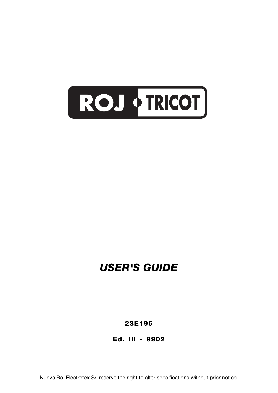

# *USER'S GUIDE*

**23E195**

**Ed. III - 9902**

Nuova Roj Electrotex Srl reserve the right to alter specifications without prior notice.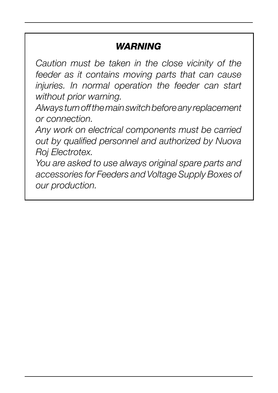# *WARNING*

*Caution must be taken in the close vicinity of the feeder as it contains moving parts that can cause injuries. In normal operation the feeder can start without prior warning.*

*Always turn off the main switch before any replacement or connection.*

*Any work on electrical components must be carried out by qualified personnel and authorized by Nuova Roj Electrotex.*

*You are asked to use always original spare parts and accessories for Feeders and Voltage Supply Boxes of our production.*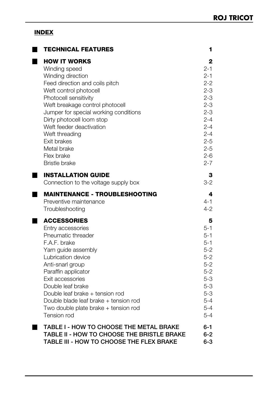### **INDEX**

| <b>TECHNICAL FEATURES</b>                                                                                                                                                                                                                                                                                                                                          | 1                                                                                                                                                         |
|--------------------------------------------------------------------------------------------------------------------------------------------------------------------------------------------------------------------------------------------------------------------------------------------------------------------------------------------------------------------|-----------------------------------------------------------------------------------------------------------------------------------------------------------|
| <b>HOW IT WORKS</b><br>Winding speed<br>Winding direction<br>Feed direction and coils pitch<br>Weft control photocell<br>Photocell sensitivity<br>Weft breakage control photocell<br>Jumper for special working conditions<br>Dirty photocell loom stop<br>Weft feeder deactivation<br>Weft threading<br>Exit brakes<br>Metal brake<br>Flex brake<br>Bristle brake | 2<br>$2 - 1$<br>$2 - 1$<br>$2 - 2$<br>$2 - 3$<br>$2 - 3$<br>$2 - 3$<br>$2 - 3$<br>$2 - 4$<br>$2 - 4$<br>$2 - 4$<br>$2 - 5$<br>$2 - 5$<br>$2-6$<br>$2 - 7$ |
| <b>INSTALLATION GUIDE</b><br>Connection to the voltage supply box                                                                                                                                                                                                                                                                                                  | з<br>3-2                                                                                                                                                  |
| <b>MAINTENANCE - TROUBLESHOOTING</b><br>Preventive maintenance<br>Troubleshooting                                                                                                                                                                                                                                                                                  | 4<br>4-1<br>$4 - 2$                                                                                                                                       |
| <b>ACCESSORIES</b><br>Entry accessories<br>Pneumatic threader<br>F.A.F. brake<br>Yarn guide assembly<br>Lubrication device<br>Anti-snarl group<br>Paraffin applicator<br>Exit accessories<br>Double leaf brake<br>Double leaf brake + tension rod<br>Double blade leaf brake + tension rod<br>Two double plate brake + tension rod<br>Tension rod                  | 5<br>$5 - 1$<br>$5 - 1$<br>$5 - 1$<br>$5-2$<br>$5 - 2$<br>$5-2$<br>$5 - 2$<br>$5 - 3$<br>$5-3$<br>5-3<br>5-4<br>$5 - 4$<br>$5 - 4$                        |
| TABLE I - HOW TO CHOOSE THE METAL BRAKE<br>TABLE II - HOW TO CHOOSE THE BRISTLE BRAKE<br>TABLE III - HOW TO CHOOSE THE FLEX BRAKE                                                                                                                                                                                                                                  | 6-1<br>6-2<br>6-3                                                                                                                                         |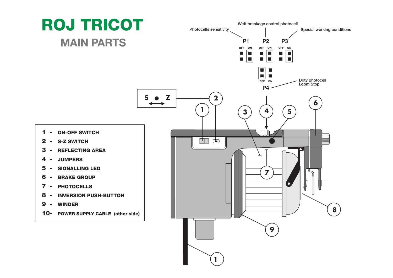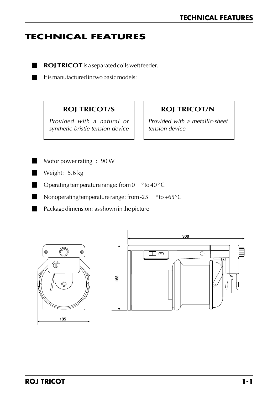### **TECHNICAL FEATURES**

**ROJ TRICOT** is a separated coils weft feeder.

It is manufactured in two basic models:

### **ROJ TRICOT/S**

Provided with a natural or synthetic bristle tension device

### **ROJ TRICOT/N**

Provided with a metallic-sheet tension device

Motor power rating : 90 W

- Weight: 5.6 kg
- Operating temperature range: from 0 ° to 40° C

Nonoperating temperature range: from -25 ° to +65°C

Package dimension: as shown in the picture



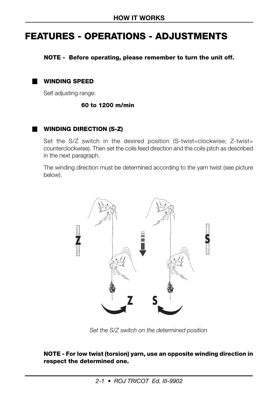# **FEATURES - OPERATIONS - ADJUSTMENTS**

**NOTE - Before operating, please remember to turn the unit off.**

**WINDING SPEED**

Self adjusting range:

**60 to 1200 m/min**

#### **WINDING DIRECTION (S-Z)**

Set the S/Z switch in the desired position (S-twist=clockwise; Z-twist= counterclockwise). Then set the coils feed direction and the coils pitch as described in the next paragraph.

The winding direction must be determined according to the yarn twist (see picture below).



*Set the S/Z switch on the determined position*

#### **NOTE - For low twist (torsion) yarn, use an opposite winding direction in respect the determined one.**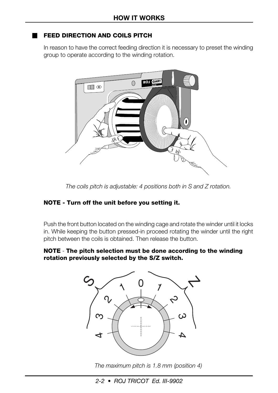#### **FEED DIRECTION AND COILS PITCH**

In reason to have the correct feeding direction it is necessary to preset the winding group to operate according to the winding rotation.



*The coils pitch is adjustable: 4 positions both in S and Z rotation.*

#### **NOTE - Turn off the unit before you setting it.**

Push the front button located on the winding cage and rotate the winder until it locks in. While keeping the button pressed-in proceed rotating the winder until the right pitch between the coils is obtained. Then release the button.

#### **NOTE** - **The pitch selection must be done according to the winding rotation previously selected by the S/Z switch.**



*The maximum pitch is 1.8 mm (position 4)*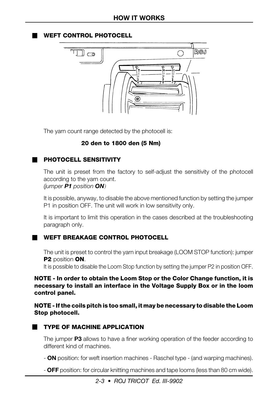#### **WEFT CONTROL PHOTOCELL**



The yarn count range detected by the photocell is:

#### **20 den to 1800 den (5 Nm)**

#### **PHOTOCELL SENSITIVITY**

The unit is preset from the factory to self-adjust the sensitivity of the photocell according to the yarn count. *(jumper P1 position ON*)

It is possible, anyway, to disable the above mentioned function by setting the jumper P1 in position OFF. The unit will work in low sensitivity only.

It is important to limit this operation in the cases described at the troubleshooting paragraph only.

#### **WEFT BREAKAGE CONTROL PHOTOCELL**

The unit is preset to control the yarn input breakage (LOOM STOP function): jumper **P2** position **ON**.

It is possible to disable the Loom Stop function by setting the jumper P2 in position OFF.

#### **NOTE - In order to obtain the Loom Stop or the Color Change function, it is necessary to install an interface in the Voltage Supply Box or in the loom control panel.**

**NOTE - If the coils pitch is too small, it may be necessary to disable the Loom Stop photocell.**

#### **TYPE OF MACHINE APPLICATION**

The jumper **P3** allows to have a finer working operation of the feeder according to different kind of machines.

- **ON** position: for weft insertion machines - Raschel type - (and warping machines).

- **OFF** position: for circular knitting machines and tape looms (less than 80 cm wide).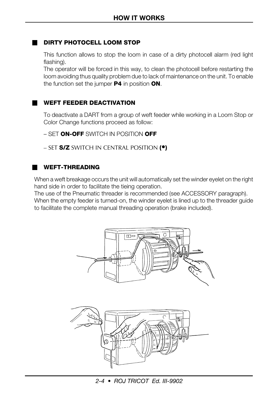#### **DIRTY PHOTOCELL LOOM STOP**

This function allows to stop the loom in case of a dirty photocell alarm (red light flashing).

The operator will be forced in this way, to clean the photocell before restarting the loom avoiding thus quality problem due to lack of maintenance on the unit. To enable the function set the jumper **P4** in position **ON**.

#### **WEFT FEEDER DEACTIVATION**

To deactivate a DART from a group of weft feeder while working in a Loom Stop or Color Change functions proceed as follow:

– SET **ON-OFF** SWITCH IN POSITION **OFF**

– SET **S/Z** SWITCH IN CENTRAL POSITION **(•)**

#### **WEFT-THREADING**

When a weft breakage occurs the unit will automatically set the winder eyelet on the right hand side in order to facilitate the tieing operation.

The use of the Pneumatic threader is recommended (see ACCESSORY paragraph). When the empty feeder is turned-on, the winder eyelet is lined up to the threader guide to facilitate the complete manual threading operation (brake included).

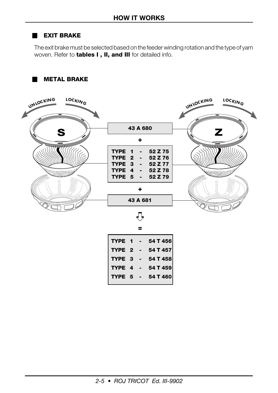#### **EXIT BRAKE**

The exit brake must be selected based on the feeder winding rotation and the type of yarn woven. Refer to **tables I , II, and III** for detailed info.

#### **METAL BRAKE**

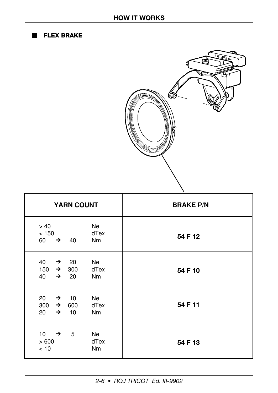#### **FLEX BRAKE**



| YARN COUNT                                                                                                     | <b>BRAKE P/N</b> |
|----------------------------------------------------------------------------------------------------------------|------------------|
| Ne<br>> 40<br>dTex<br>< 150<br><b>Nm</b><br>60<br>$\rightarrow$<br>- 40                                        | 54 F 12          |
| Ne<br>40 $\rightarrow$ 20<br>$150 \rightarrow 300$<br>dTex<br>$\rightarrow$ 20<br>Nm<br>40                     | 54 F 10          |
| <b>Ne</b><br>20<br>$\rightarrow$ 10<br>300 $\rightarrow$ 600<br>dTex<br><b>Nm</b><br>20<br>10<br>$\rightarrow$ | 54 F 11          |
| Ne<br>10<br>5<br>$\rightarrow$<br>dTex<br>>600<br><b>Nm</b><br>< 10                                            | 54 F 13          |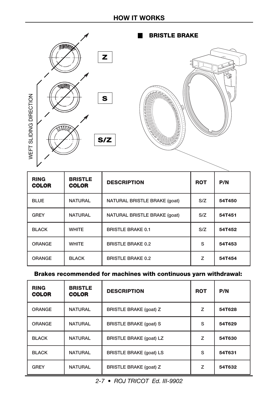### **HOW IT WORKS**



#### **BRISTLE BRAKE**



| <b>RING</b><br><b>COLOR</b> | <b>BRISTLE</b><br><b>COLOR</b> | <b>DESCRIPTION</b>           | <b>ROT</b> | P/N    |
|-----------------------------|--------------------------------|------------------------------|------------|--------|
| <b>BLUE</b>                 | <b>NATURAL</b>                 | NATURAL BRISTLE BRAKE (goat) | S/Z        | 54T450 |
| <b>GREY</b>                 | <b>NATURAL</b>                 | NATURAL BRISTLE BRAKE (goat) | S/Z        | 54T451 |
| <b>BLACK</b>                | <b>WHITE</b>                   | <b>BRISTLE BRAKE 0.1</b>     | S/Z        | 54T452 |
| <b>ORANGE</b>               | <b>WHITE</b>                   | <b>BRISTLE BRAKE 0.2</b>     | S          | 54T453 |
| <b>ORANGE</b>               | <b>BLACK</b>                   | <b>BRISTLE BRAKE 0.2</b>     | Z          | 54T454 |

#### **Brakes recommended for machines with continuous yarn withdrawal:**

| <b>RING</b><br><b>COLOR</b> | <b>BRISTLE</b><br><b>COLOR</b> | <b>DESCRIPTION</b>             | <b>ROT</b> | P/N    |
|-----------------------------|--------------------------------|--------------------------------|------------|--------|
| <b>ORANGE</b>               | <b>NATURAL</b>                 | <b>BRISTLE BRAKE (goat) Z</b>  | Z          | 54T628 |
| <b>ORANGE</b>               | <b>NATURAL</b>                 | <b>BRISTLE BRAKE (goat) S</b>  | S          | 54T629 |
| <b>BLACK</b>                | <b>NATURAL</b>                 | <b>BRISTLE BRAKE (goat) LZ</b> | Z          | 54T630 |
| <b>BLACK</b>                | <b>NATURAL</b>                 | <b>BRISTLE BRAKE (goat) LS</b> | S          | 54T631 |
| <b>GREY</b>                 | <b>NATURAL</b>                 | <b>BRISTLE BRAKE (goat) Z</b>  | z          | 54T632 |

*2-7 • ROJ TRICOT Ed. III-9902*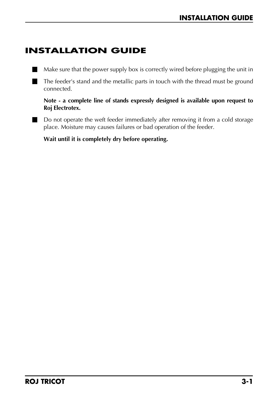### **INSTALLATION GUIDE**

- $\blacksquare$  Make sure that the power supply box is correctly wired before plugging the unit in
- The feeder's stand and the metallic parts in touch with the thread must be ground connected.

**Note - a complete line of stands expressly designed is available upon request to Roj Electrotex.**

■ Do not operate the weft feeder immediately after removing it from a cold storage place. Moisture may causes failures or bad operation of the feeder.

**Wait until it is completely dry before operating.**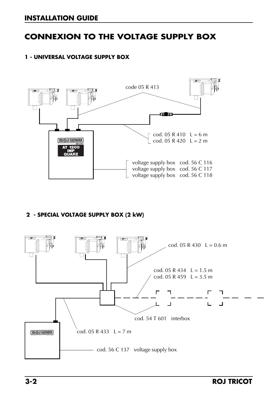### **CONNEXION TO THE VOLTAGE SUPPLY BOX**

#### **1 - UNIVERSAL VOLTAGE SUPPLY BOX**



#### **2 - SPECIAL VOLTAGE SUPPLY BOX (2 kW)**

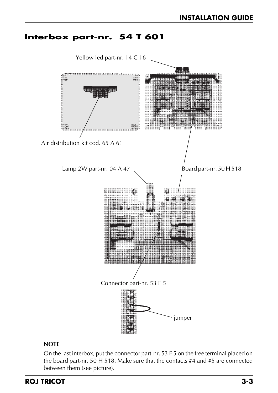### **Interbox part-nr. 54 T 601**



#### **NOTE**

On the last interbox, put the connector part-nr. 53 F 5 on the free terminal placed on the board part-nr. 50 H 518. Make sure that the contacts #4 and #5 are connected between them (see picture).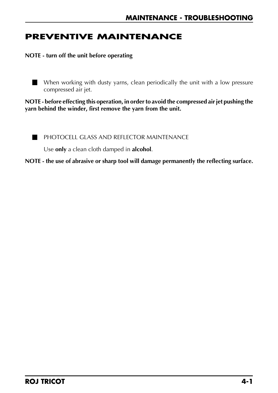### **PREVENTIVE MAINTENANCE**

**NOTE - turn off the unit before operating**

When working with dusty yarns, clean periodically the unit with a low pressure compressed air jet.

**NOTE - before effecting this operation, in order to avoid the compressed air jet pushing the yarn behind the winder, first remove the yarn from the unit.**

**PHOTOCELL GLASS AND REFLECTOR MAINTENANCE** 

Use **only** a clean cloth damped in **alcohol**.

**NOTE - the use of abrasive or sharp tool will damage permanently the reflecting surface.**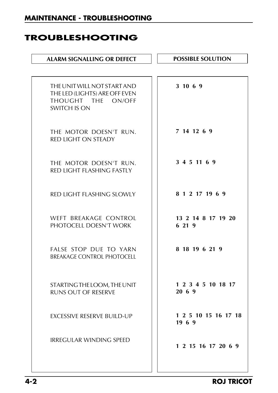### **TROUBLESHOOTING**

| <b>ALARM SIGNALLING OR DEFECT</b>                                                                  | <b>POSSIBLE SOLUTION</b>     |
|----------------------------------------------------------------------------------------------------|------------------------------|
|                                                                                                    |                              |
| THE UNIT WILL NOT START AND<br>THE LED (LIGHTS) ARE OFF EVEN<br>THOUGHT THE ON/OFF<br>SWITCH IS ON | 3 10 6 9                     |
| THE MOTOR DOESN'T RUN.<br><b>RED LIGHT ON STEADY</b>                                               | 7 14 12 6 9                  |
| THE MOTOR DOESN'T RUN.<br>RED LIGHT FLASHING FASTLY                                                | 3 4 5 11 6 9                 |
| RED LIGHT FLASHING SLOWLY                                                                          | 8 1 2 17 19 6 9              |
| WEFT BREAKAGE CONTROL<br>PHOTOCELL DOESN'T WORK                                                    | 13 2 14 8 17 19 20<br>6219   |
| FALSE STOP DUE TO YARN<br>BREAKAGE CONTROL PHOTOCELL                                               | 8 18 19 6 21 9               |
| STARTING THE LOOM, THE UNIT<br>RUNS OUT OF RESERVE                                                 | 1 2 3 4 5 10 18 17<br>2069   |
| EXCESSIVE RESERVE BUILD-UP                                                                         | 1 2 5 10 15 16 17 18<br>1969 |
| IRREGULAR WINDING SPEED                                                                            | 1 2 15 16 17 20 6 9          |
|                                                                                                    |                              |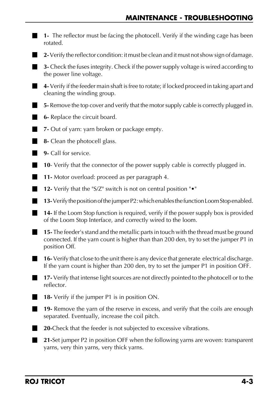|   | 1- The reflector must be facing the photocell. Verify if the winding cage has been<br>rotated.                                                                                                  |
|---|-------------------------------------------------------------------------------------------------------------------------------------------------------------------------------------------------|
|   | 2- Verify the reflector condition: it must be clean and it must not show sign of damage.                                                                                                        |
|   | 3- Check the fuses integrity. Check if the power supply voltage is wired according to<br>the power line voltage.                                                                                |
|   | 4- Verify if the feeder main shaft is free to rotate; if locked proceed in taking apart and<br>cleaning the winding group.                                                                      |
|   | 5- Remove the top cover and verify that the motor supply cable is correctly plugged in.                                                                                                         |
| ٠ | <b>6</b> - Replace the circuit board.                                                                                                                                                           |
|   | 7- Out of yarn: yarn broken or package empty.                                                                                                                                                   |
|   | <b>8-</b> Clean the photocell glass.                                                                                                                                                            |
| ٠ | 9- Call for service.                                                                                                                                                                            |
|   | 10- Verify that the connector of the power supply cable is correctly plugged in.                                                                                                                |
| ٠ | 11- Motor overload: proceed as per paragraph 4.                                                                                                                                                 |
|   | 12- Verify that the "S/Z" switch is not on central position ".                                                                                                                                  |
|   | 13- Verify the position of the jumper P2: which enables the function Loom Stop enabled.                                                                                                         |
| ٠ | 14- If the Loom Stop function is required, verify if the power supply box is provided<br>of the Loom Stop Interface, and correctly wired to the loom.                                           |
| ■ | 15- The feeder's stand and the metallic parts in touch with the thread must be ground<br>connected. If the yarn count is higher than than 200 den, try to set the jumper P1 in<br>position Off. |
|   | 16- Verify that close to the unit there is any device that generate electrical discharge.<br>If the yarn count is higher than 200 den, try to set the jumper P1 in position OFF.                |
| ▅ | 17- Verify that intense light sources are not directly pointed to the photocell or to the<br>reflector.                                                                                         |
|   | 18- Verify if the jumper P1 is in position ON.                                                                                                                                                  |
| ▅ | 19- Remove the yarn of the reserve in excess, and verify that the coils are enough<br>separated. Eventually, increase the coil pitch.                                                           |
|   | 20-Check that the feeder is not subjected to excessive vibrations.                                                                                                                              |
|   | 21-Set jumper P2 in position OFF when the following yarns are woven: transparent<br>yarns, very thin yarns, very thick yarns.                                                                   |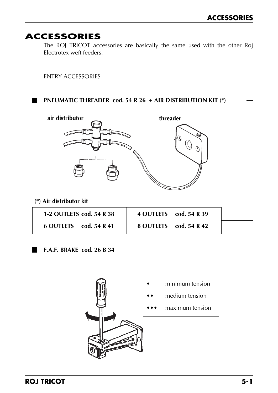### **ACCESSORIES**

The ROJ TRICOT accessories are basically the same used with the other Roj Electrotex weft feeders.

ENTRY ACCESSORIES

#### **PNEUMATIC THREADER cod. 54 R 26 + AIR DISTRIBUTION KIT (\*)**



**F.A.F. BRAKE cod. 26 B 34**

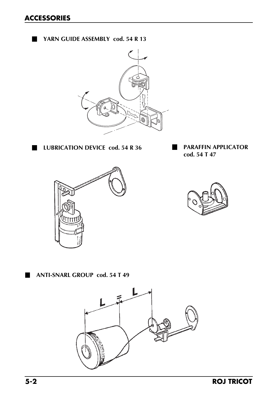YARN GUIDE ASSEMBLY cod. 54 R 13



### **LUBRICATION DEVICE cod. 54 R 36**

**PARAFFIN APPLICATOR cod. 54 T 47**





**ANTI-SNARL GROUP cod. 54 T 49**



I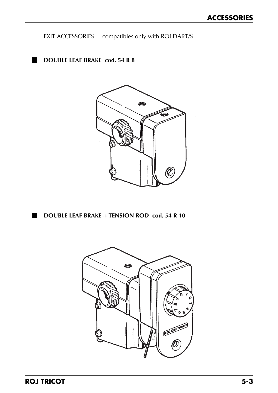EXIT ACCESSORIES compatibles only with ROJ DART/S

**DOUBLE LEAF BRAKE cod. 54 R 8** п



**DOUBLE LEAF BRAKE + TENSION ROD cod. 54 R 10** 

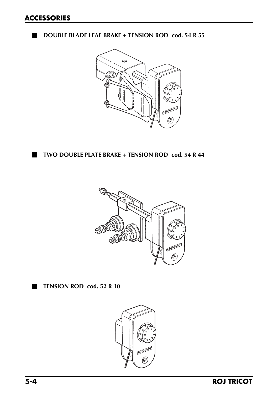**DOUBLE BLADE LEAF BRAKE + TENSION ROD cod. 54 R 55** 







**TENSION ROD cod. 52 R 10** 

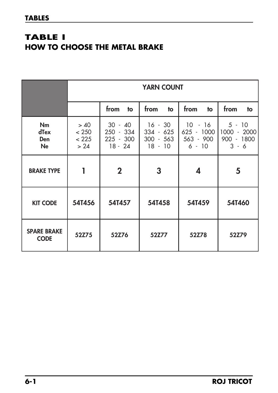## **TABLE I HOW TO CHOOSE THE METAL BRAKE**

|                                                     | <b>YARN COUNT</b>              |                                                |                                                    |                                                    |                                                  |  |
|-----------------------------------------------------|--------------------------------|------------------------------------------------|----------------------------------------------------|----------------------------------------------------|--------------------------------------------------|--|
|                                                     |                                | from<br>to                                     | from<br>to                                         | from<br>to                                         | from<br>to                                       |  |
| Nm<br><b>dTex</b><br>Den<br><b>Ne</b>               | > 40<br>< 250<br>< 225<br>> 24 | $30 - 40$<br>250 - 334<br>225 - 300<br>18 - 24 | 16 - 30<br>$334 - 625$<br>$300 - 563$<br>$18 - 10$ | $10 - 16$<br>$625 - 1000$<br>$563 - 900$<br>6 - 10 | $5 - 10$<br>1000 - 2000<br>900 - 1800<br>$3 - 6$ |  |
| <b>BRAKE TYPE</b>                                   | $\mathbf{2}$                   |                                                | 3                                                  | 4                                                  | 5                                                |  |
| <b>KIT CODE</b>                                     | 54T456                         | 54T457                                         | 54T458                                             | 54T459                                             | 54T460                                           |  |
| <b>SPARE BRAKE</b><br>52Z75<br>52Z76<br><b>CODE</b> |                                | 52Z77                                          | 52Z78                                              | 52Z79                                              |                                                  |  |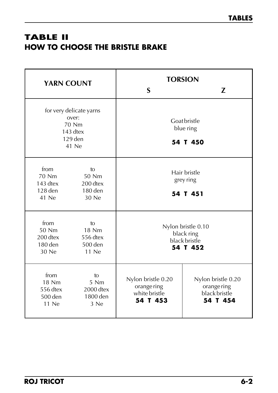## **TABLE II HOW TO CHOOSE THE BRISTLE BRAKE**

| <b>YARN COUNT</b>                                                             |                                             | S                                                              | <b>TORSION</b><br>Z                                            |
|-------------------------------------------------------------------------------|---------------------------------------------|----------------------------------------------------------------|----------------------------------------------------------------|
| for very delicate yarns<br>over:<br>70 Nm<br>$143$ dtex<br>$129$ den<br>41 Ne |                                             | Goatbristle<br>blue ring<br>54 T 450                           |                                                                |
| from<br>70 Nm<br>$143$ dtex<br>$128$ den<br>41 Ne                             | to<br>50 Nm<br>200 dtex<br>180 den<br>30 Ne |                                                                | Hair bristle<br>grey ring<br>54 T 451                          |
| from<br>50 Nm<br>$200$ dtex<br>180 den<br>30 Ne                               | to<br>18 Nm<br>556 dtex<br>500 den<br>11 Ne |                                                                | Nylon bristle 0.10<br>black ring<br>black bristle<br>54 T 452  |
| from<br>18 Nm<br>556 dtex<br>500 den<br>11 Ne                                 | to<br>5 Nm<br>2000 dtex<br>1800 den<br>3 Ne | Nylon bristle 0.20<br>orange ring<br>white bristle<br>54 T 453 | Nylon bristle 0.20<br>orange ring<br>black bristle<br>54 T 454 |